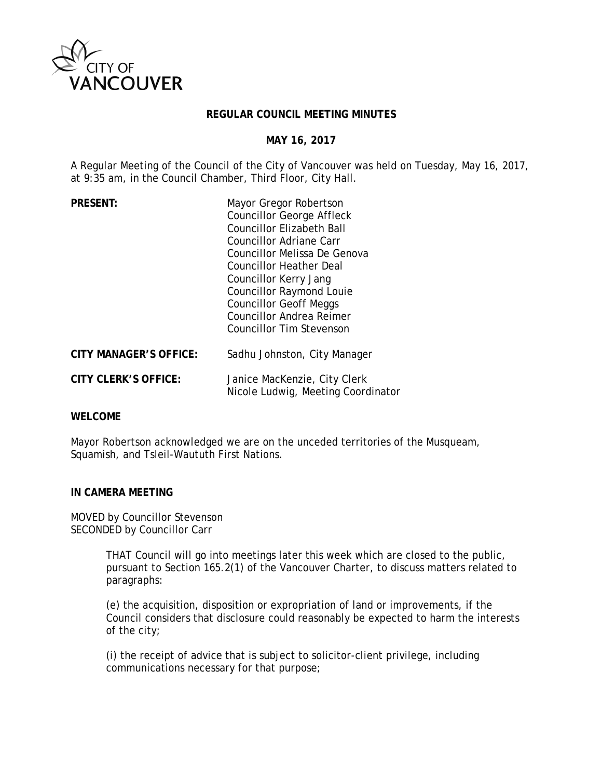

#### **REGULAR COUNCIL MEETING MINUTES**

#### **MAY 16, 2017**

A Regular Meeting of the Council of the City of Vancouver was held on Tuesday, May 16, 2017, at 9:35 am, in the Council Chamber, Third Floor, City Hall.

| <b>PRESENT:</b>               | Mayor Gregor Robertson<br><b>Councillor George Affleck</b><br><b>Councillor Elizabeth Ball</b><br>Councillor Adriane Carr<br>Councillor Melissa De Genova<br><b>Councillor Heather Deal</b><br>Councillor Kerry Jang<br><b>Councillor Raymond Louie</b><br><b>Councillor Geoff Meggs</b><br><b>Councillor Andrea Reimer</b><br><b>Councillor Tim Stevenson</b> |
|-------------------------------|----------------------------------------------------------------------------------------------------------------------------------------------------------------------------------------------------------------------------------------------------------------------------------------------------------------------------------------------------------------|
| <b>CITY MANAGER'S OFFICE:</b> | Sadhu Johnston, City Manager                                                                                                                                                                                                                                                                                                                                   |
| <b>CITY CLERK'S OFFICE:</b>   | Janice MacKenzie, City Clerk<br>Nicole Ludwig, Meeting Coordinator                                                                                                                                                                                                                                                                                             |

## **WELCOME**

Mayor Robertson acknowledged we are on the unceded territories of the Musqueam, Squamish, and Tsleil-Waututh First Nations.

#### **IN CAMERA MEETING**

MOVED by Councillor Stevenson SECONDED by Councillor Carr

> THAT Council will go into meetings later this week which are closed to the public, pursuant to Section 165.2(1) of the Vancouver Charter, to discuss matters related to paragraphs:

> (e) the acquisition, disposition or expropriation of land or improvements, if the Council considers that disclosure could reasonably be expected to harm the interests of the city;

(i) the receipt of advice that is subject to solicitor-client privilege, including communications necessary for that purpose;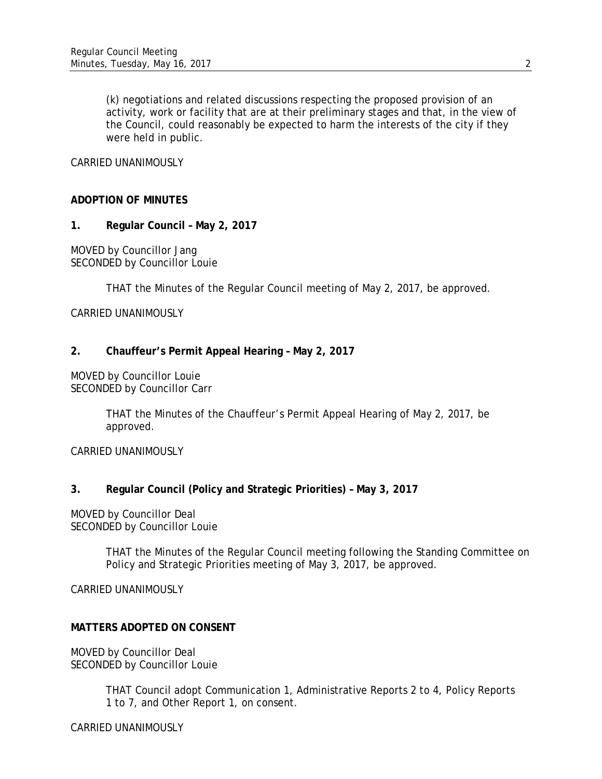(k) negotiations and related discussions respecting the proposed provision of an activity, work or facility that are at their preliminary stages and that, in the view of the Council, could reasonably be expected to harm the interests of the city if they were held in public.

## CARRIED UNANIMOUSLY

## **ADOPTION OF MINUTES**

**1. Regular Council – May 2, 2017**

MOVED by Councillor Jang SECONDED by Councillor Louie

THAT the Minutes of the Regular Council meeting of May 2, 2017, be approved.

CARRIED UNANIMOUSLY

## **2. Chauffeur's Permit Appeal Hearing – May 2, 2017**

MOVED by Councillor Louie SECONDED by Councillor Carr

> THAT the Minutes of the Chauffeur's Permit Appeal Hearing of May 2, 2017, be approved.

CARRIED UNANIMOUSLY

## **3. Regular Council (Policy and Strategic Priorities) – May 3, 2017**

MOVED by Councillor Deal SECONDED by Councillor Louie

> THAT the Minutes of the Regular Council meeting following the Standing Committee on Policy and Strategic Priorities meeting of May 3, 2017, be approved.

CARRIED UNANIMOUSLY

## **MATTERS ADOPTED ON CONSENT**

MOVED by Councillor Deal SECONDED by Councillor Louie

> THAT Council adopt Communication 1, Administrative Reports 2 to 4, Policy Reports 1 to 7, and Other Report 1, on consent.

CARRIED UNANIMOUSLY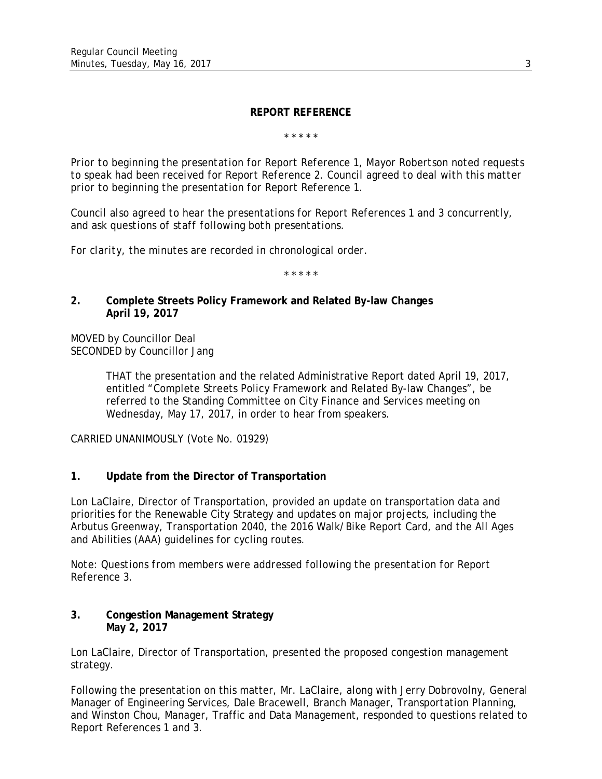#### **REPORT REFERENCE**

*\* \* \* \* \**

*Prior to beginning the presentation for Report Reference 1, Mayor Robertson noted requests to speak had been received for Report Reference 2. Council agreed to deal with this matter prior to beginning the presentation for Report Reference 1.*

*Council also agreed to hear the presentations for Report References 1 and 3 concurrently, and ask questions of staff following both presentations.*

*For clarity, the minutes are recorded in chronological order.*

*\* \* \* \* \**

## **2. Complete Streets Policy Framework and Related By-law Changes April 19, 2017**

MOVED by Councillor Deal SECONDED by Councillor Jang

> THAT the presentation and the related Administrative Report dated April 19, 2017, entitled "Complete Streets Policy Framework and Related By-law Changes", be referred to the Standing Committee on City Finance and Services meeting on Wednesday, May 17, 2017, in order to hear from speakers.

CARRIED UNANIMOUSLY (Vote No. 01929)

## **1. Update from the Director of Transportation**

Lon LaClaire, Director of Transportation, provided an update on transportation data and priorities for the Renewable City Strategy and updates on major projects, including the Arbutus Greenway, Transportation 2040, the 2016 Walk/Bike Report Card, and the All Ages and Abilities (AAA) guidelines for cycling routes.

*Note: Questions from members were addressed following the presentation for Report Reference 3.*

## **3. Congestion Management Strategy May 2, 2017**

Lon LaClaire, Director of Transportation, presented the proposed congestion management strategy.

Following the presentation on this matter, Mr. LaClaire, along with Jerry Dobrovolny, General Manager of Engineering Services, Dale Bracewell, Branch Manager, Transportation Planning, and Winston Chou, Manager, Traffic and Data Management, responded to questions related to Report References 1 and 3.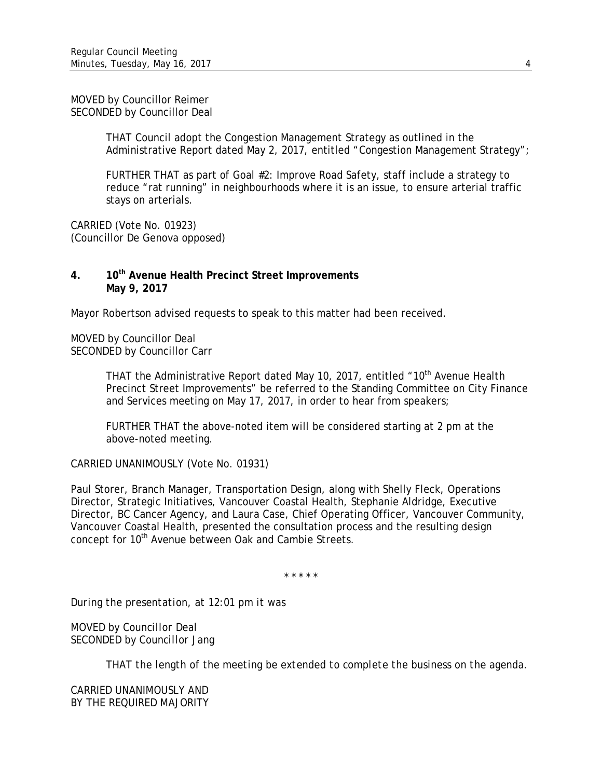MOVED by Councillor Reimer SECONDED by Councillor Deal

> THAT Council adopt the Congestion Management Strategy as outlined in the Administrative Report dated May 2, 2017, entitled "Congestion Management Strategy";

FURTHER THAT as part of Goal #2: Improve Road Safety, staff include a strategy to reduce "rat running" in neighbourhoods where it is an issue, to ensure arterial traffic stays on arterials.

CARRIED (Vote No. 01923) (Councillor De Genova opposed)

#### **4. 10th Avenue Health Precinct Street Improvements May 9, 2017**

Mayor Robertson advised requests to speak to this matter had been received.

MOVED by Councillor Deal SECONDED by Councillor Carr

> THAT the Administrative Report dated May 10, 2017, entitled "10<sup>th</sup> Avenue Health Precinct Street Improvements" be referred to the Standing Committee on City Finance and Services meeting on May 17, 2017, in order to hear from speakers;

FURTHER THAT the above-noted item will be considered starting at 2 pm at the above-noted meeting.

CARRIED UNANIMOUSLY (Vote No. 01931)

Paul Storer, Branch Manager, Transportation Design, along with Shelly Fleck, Operations Director, Strategic Initiatives, Vancouver Coastal Health, Stephanie Aldridge, Executive Director, BC Cancer Agency, and Laura Case, Chief Operating Officer, Vancouver Community, Vancouver Coastal Health, presented the consultation process and the resulting design concept for 10<sup>th</sup> Avenue between Oak and Cambie Streets.

\* \* \* \* \*

*During the presentation, at 12:01 pm it was*

*MOVED by Councillor Deal SECONDED by Councillor Jang*

*THAT the length of the meeting be extended to complete the business on the agenda.*

*CARRIED UNANIMOUSLY AND BY THE REQUIRED MAJORITY*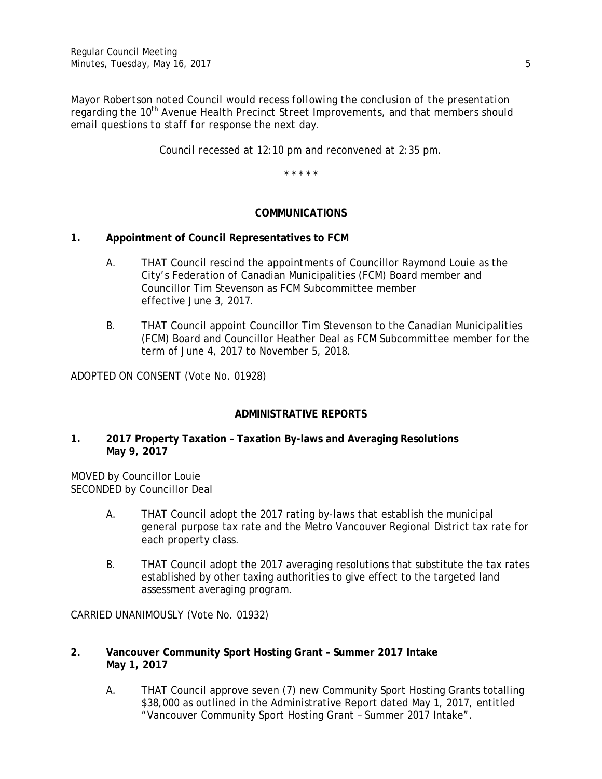*Mayor Robertson noted Council would recess following the conclusion of the presentation* regarding the 10<sup>th</sup> Avenue Health Precinct Street Improvements, and that members should *email questions to staff for response the next day.*

*Council recessed at 12:10 pm and reconvened at 2:35 pm.*

\* \* \* \* \*

#### **COMMUNICATIONS**

## **1. Appointment of Council Representatives to FCM**

- A. THAT Council rescind the appointments of Councillor Raymond Louie as the City's Federation of Canadian Municipalities (FCM) Board member and Councillor Tim Stevenson as FCM Subcommittee member effective June 3, 2017.
- B. THAT Council appoint Councillor Tim Stevenson to the Canadian Municipalities (FCM) Board and Councillor Heather Deal as FCM Subcommittee member for the term of June 4, 2017 to November 5, 2018.

ADOPTED ON CONSENT (Vote No. 01928)

## **ADMINISTRATIVE REPORTS**

#### **1. 2017 Property Taxation – Taxation By-laws and Averaging Resolutions May 9, 2017**

MOVED by Councillor Louie SECONDED by Councillor Deal

- A. THAT Council adopt the 2017 rating by-laws that establish the municipal general purpose tax rate and the Metro Vancouver Regional District tax rate for each property class.
- B. THAT Council adopt the 2017 averaging resolutions that substitute the tax rates established by other taxing authorities to give effect to the targeted land assessment averaging program.

CARRIED UNANIMOUSLY (Vote No. 01932)

- **2. Vancouver Community Sport Hosting Grant – Summer 2017 Intake May 1, 2017**
	- A. THAT Council approve seven (7) new Community Sport Hosting Grants totalling \$38,000 as outlined in the Administrative Report dated May 1, 2017, entitled "Vancouver Community Sport Hosting Grant – Summer 2017 Intake".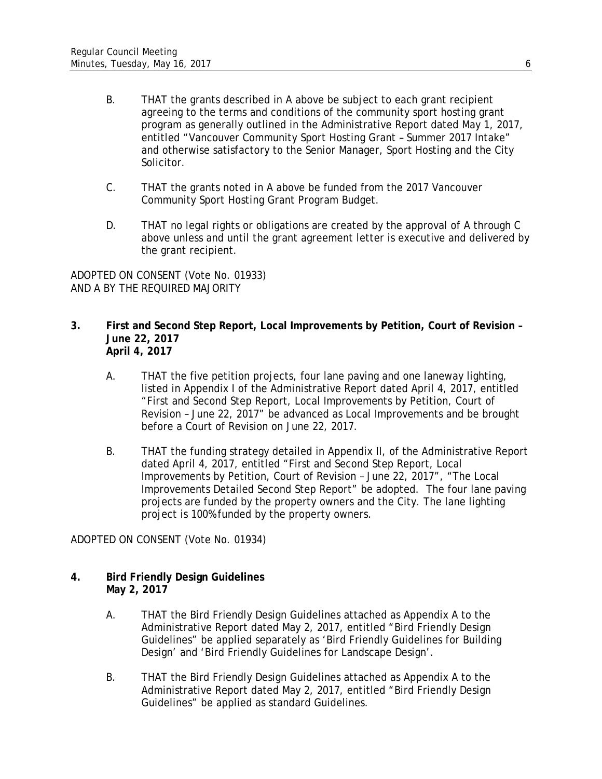- B. THAT the grants described in A above be subject to each grant recipient agreeing to the terms and conditions of the community sport hosting grant program as generally outlined in the Administrative Report dated May 1, 2017, entitled "Vancouver Community Sport Hosting Grant – Summer 2017 Intake" and otherwise satisfactory to the Senior Manager, Sport Hosting and the City Solicitor.
- C. THAT the grants noted in A above be funded from the 2017 Vancouver Community Sport Hosting Grant Program Budget.
- D. THAT no legal rights or obligations are created by the approval of A through C above unless and until the grant agreement letter is executive and delivered by the grant recipient.

ADOPTED ON CONSENT (Vote No. 01933) AND A BY THE REQUIRED MAJORITY

- **3. First and Second Step Report, Local Improvements by Petition, Court of Revision – June 22, 2017 April 4, 2017**
	- A. THAT the five petition projects, four lane paving and one laneway lighting, listed in Appendix I of the Administrative Report dated April 4, 2017, entitled "First and Second Step Report, Local Improvements by Petition, Court of Revision – June 22, 2017" be advanced as Local Improvements and be brought before a Court of Revision on June 22, 2017.
	- B. THAT the funding strategy detailed in Appendix II, of the Administrative Report dated April 4, 2017, entitled "First and Second Step Report, Local Improvements by Petition, Court of Revision – June 22, 2017", "The Local Improvements Detailed Second Step Report" be adopted. The four lane paving projects are funded by the property owners and the City. The lane lighting project is 100% funded by the property owners.

ADOPTED ON CONSENT (Vote No. 01934)

- **4. Bird Friendly Design Guidelines May 2, 2017**
	- A. THAT the Bird Friendly Design Guidelines attached as Appendix A to the Administrative Report dated May 2, 2017, entitled "Bird Friendly Design Guidelines" be applied separately as 'Bird Friendly Guidelines for Building Design' and 'Bird Friendly Guidelines for Landscape Design'.
	- B. THAT the Bird Friendly Design Guidelines attached as Appendix A to the Administrative Report dated May 2, 2017, entitled "Bird Friendly Design Guidelines" be applied as standard Guidelines.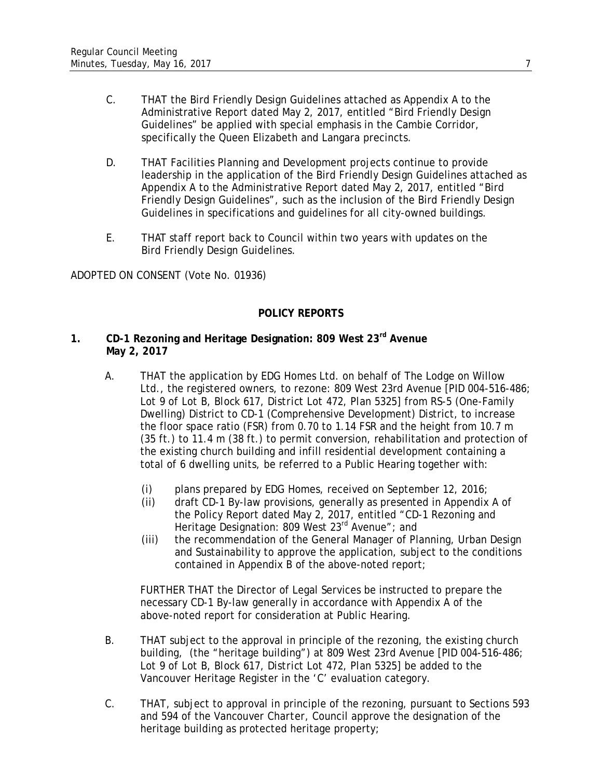- C. THAT the Bird Friendly Design Guidelines attached as Appendix A to the Administrative Report dated May 2, 2017, entitled "Bird Friendly Design Guidelines" be applied with special emphasis in the Cambie Corridor, specifically the Queen Elizabeth and Langara precincts.
- D. THAT Facilities Planning and Development projects continue to provide leadership in the application of the Bird Friendly Design Guidelines attached as Appendix A to the Administrative Report dated May 2, 2017, entitled "Bird Friendly Design Guidelines", such as the inclusion of the Bird Friendly Design Guidelines in specifications and guidelines for all city-owned buildings.
- E. THAT staff report back to Council within two years with updates on the Bird Friendly Design Guidelines.

ADOPTED ON CONSENT (Vote No. 01936)

# **POLICY REPORTS**

## **1. CD-1 Rezoning and Heritage Designation: 809 West 23rd Avenue May 2, 2017**

- A. THAT the application by EDG Homes Ltd. on behalf of The Lodge on Willow Ltd., the registered owners, to rezone: 809 West 23rd Avenue [*PID 004-516-486; Lot 9 of Lot B, Block 617, District Lot 472, Plan 5325*] from RS-5 (One-Family Dwelling) District to CD-1 (Comprehensive Development) District, to increase the floor space ratio (FSR) from 0.70 to 1.14 FSR and the height from 10.7 m (35 ft.) to 11.4 m (38 ft.) to permit conversion, rehabilitation and protection of the existing church building and infill residential development containing a total of 6 dwelling units, be referred to a Public Hearing together with:
	- (i) plans prepared by EDG Homes, received on September 12, 2016;
	- (ii) draft CD-1 By-law provisions, generally as presented in Appendix A of the Policy Report dated May 2, 2017, entitled "CD-1 Rezoning and Heritage Designation: 809 West 23<sup>rd</sup> Avenue"; and
	- (iii) the recommendation of the General Manager of Planning, Urban Design and Sustainability to approve the application, subject to the conditions contained in Appendix B of the above-noted report;

FURTHER THAT the Director of Legal Services be instructed to prepare the necessary CD-1 By-law generally in accordance with Appendix A of the above-noted report for consideration at Public Hearing.

- B. THAT subject to the approval in principle of the rezoning, the existing church building, (the "heritage building") at 809 West 23rd Avenue [*PID 004-516-486; Lot 9 of Lot B, Block 617, District Lot 472, Plan 5325*] be added to the Vancouver Heritage Register in the 'C' evaluation category.
- C. THAT, subject to approval in principle of the rezoning, pursuant to Sections 593 and 594 of the *Vancouver Charter*, Council approve the designation of the heritage building as protected heritage property;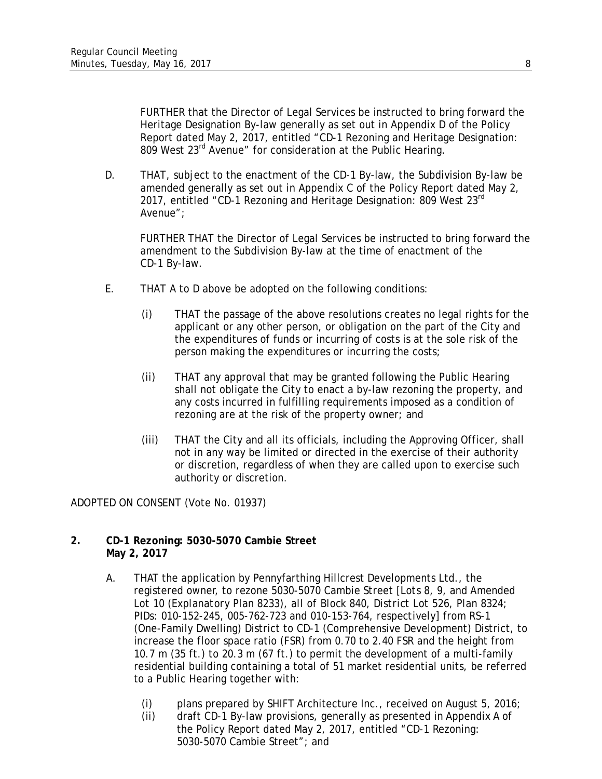FURTHER that the Director of Legal Services be instructed to bring forward the Heritage Designation By-law generally as set out in Appendix D of the Policy Report dated May 2, 2017, entitled "CD-1 Rezoning and Heritage Designation: 809 West 23<sup>rd</sup> Avenue" for consideration at the Public Hearing.

D. THAT, subject to the enactment of the CD-1 By-law, the Subdivision By-law be amended generally as set out in Appendix C of the Policy Report dated May 2, 2017, entitled "CD-1 Rezoning and Heritage Designation: 809 West 23rd Avenue";

FURTHER THAT the Director of Legal Services be instructed to bring forward the amendment to the Subdivision By-law at the time of enactment of the CD-1 By-law.

- E. THAT A to D above be adopted on the following conditions:
	- (i) THAT the passage of the above resolutions creates no legal rights for the applicant or any other person, or obligation on the part of the City and the expenditures of funds or incurring of costs is at the sole risk of the person making the expenditures or incurring the costs;
	- (ii) THAT any approval that may be granted following the Public Hearing shall not obligate the City to enact a by-law rezoning the property, and any costs incurred in fulfilling requirements imposed as a condition of rezoning are at the risk of the property owner; and
	- (iii) THAT the City and all its officials, including the Approving Officer, shall not in any way be limited or directed in the exercise of their authority or discretion, regardless of when they are called upon to exercise such authority or discretion.

ADOPTED ON CONSENT (Vote No. 01937)

## **2. CD-1 Rezoning: 5030-5070 Cambie Street May 2, 2017**

- A. THAT the application by Pennyfarthing Hillcrest Developments Ltd., the registered owner, to rezone 5030-5070 Cambie Street *[Lots 8, 9, and Amended Lot 10 (Explanatory Plan 8233), all of Block 840, District Lot 526, Plan 8324; PIDs: 010-152-245, 005-762-723 and 010-153-764, respectively*] from RS-1 (One-Family Dwelling) District to CD-1 (Comprehensive Development) District, to increase the floor space ratio (FSR) from 0.70 to 2.40 FSR and the height from 10.7 m (35 ft.) to 20.3 m (67 ft.) to permit the development of a multi-family residential building containing a total of 51 market residential units, be referred to a Public Hearing together with:
	- (i) plans prepared by SHIFT Architecture Inc., received on August 5, 2016;
	- (ii) draft CD-1 By-law provisions, generally as presented in Appendix A of the Policy Report dated May 2, 2017, entitled "CD-1 Rezoning: 5030-5070 Cambie Street"; and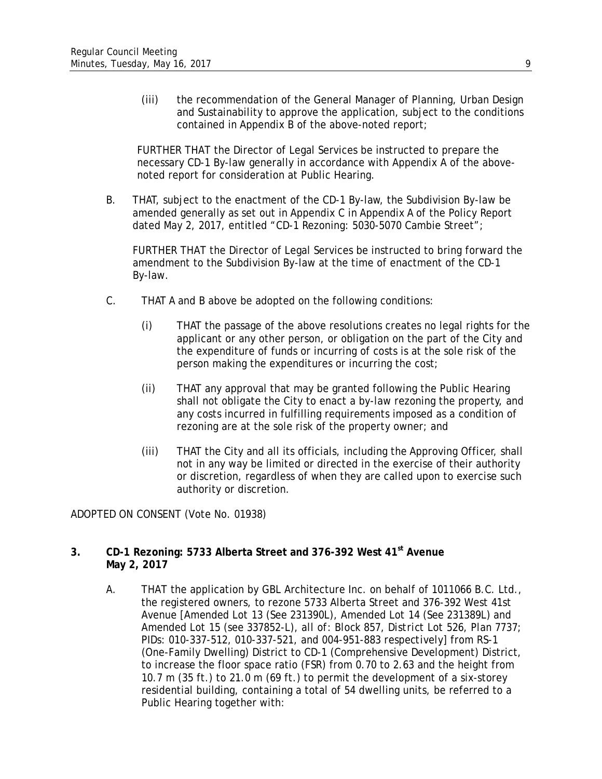(iii) the recommendation of the General Manager of Planning, Urban Design and Sustainability to approve the application, subject to the conditions contained in Appendix B of the above-noted report;

FURTHER THAT the Director of Legal Services be instructed to prepare the necessary CD-1 By-law generally in accordance with Appendix A of the abovenoted report for consideration at Public Hearing.

B. THAT, subject to the enactment of the CD-1 By-law, the Subdivision By-law be amended generally as set out in Appendix C in Appendix A of the Policy Report dated May 2, 2017, entitled "CD-1 Rezoning: 5030-5070 Cambie Street";

FURTHER THAT the Director of Legal Services be instructed to bring forward the amendment to the Subdivision By-law at the time of enactment of the CD-1 By-law.

- C. THAT A and B above be adopted on the following conditions:
	- (i) THAT the passage of the above resolutions creates no legal rights for the applicant or any other person, or obligation on the part of the City and the expenditure of funds or incurring of costs is at the sole risk of the person making the expenditures or incurring the cost;
	- (ii) THAT any approval that may be granted following the Public Hearing shall not obligate the City to enact a by-law rezoning the property, and any costs incurred in fulfilling requirements imposed as a condition of rezoning are at the sole risk of the property owner; and
	- (iii) THAT the City and all its officials, including the Approving Officer, shall not in any way be limited or directed in the exercise of their authority or discretion, regardless of when they are called upon to exercise such authority or discretion.

ADOPTED ON CONSENT (Vote No. 01938)

## **3. CD-1 Rezoning: 5733 Alberta Street and 376-392 West 41st Avenue May 2, 2017**

A. THAT the application by GBL Architecture Inc. on behalf of 1011066 B.C. Ltd., the registered owners, to rezone 5733 Alberta Street and 376-392 West 41st Avenue [*Amended Lot 13 (See 231390L), Amended Lot 14 (See 231389L) and Amended Lot 15 (see 337852-L), all of: Block 857, District Lot 526, Plan 7737; PIDs: 010-337-512, 010-337-521, and 004-951-883 respectively*] from RS-1 (One-Family Dwelling) District to CD-1 (Comprehensive Development) District, to increase the floor space ratio (FSR) from 0.70 to 2.63 and the height from 10.7 m (35 ft.) to 21.0 m (69 ft.) to permit the development of a six-storey residential building, containing a total of 54 dwelling units, be referred to a Public Hearing together with: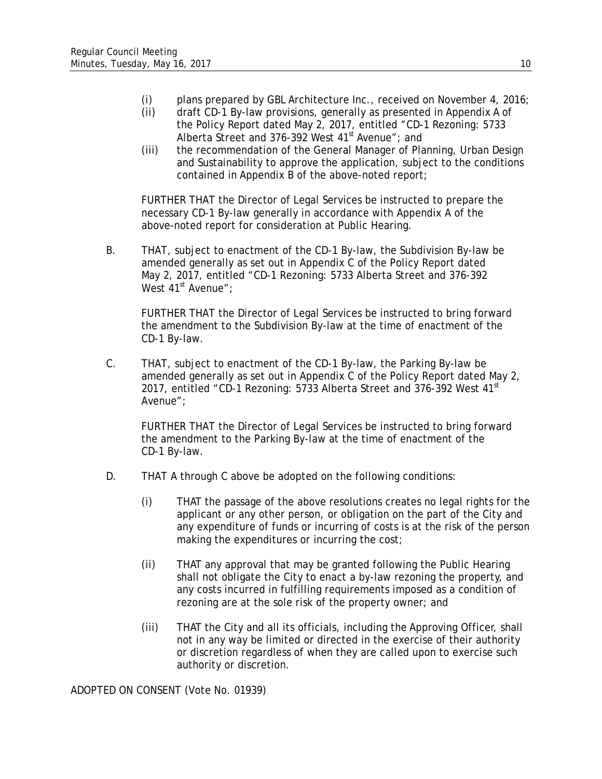- (i) plans prepared by GBL Architecture Inc., received on November 4, 2016;
- (ii) draft CD-1 By-law provisions, generally as presented in Appendix A of the Policy Report dated May 2, 2017, entitled "CD-1 Rezoning: 5733 Alberta Street and 376-392 West 41<sup>st</sup> Avenue"; and
- (iii) the recommendation of the General Manager of Planning, Urban Design and Sustainability to approve the application, subject to the conditions contained in Appendix B of the above-noted report;

FURTHER THAT the Director of Legal Services be instructed to prepare the necessary CD-1 By-law generally in accordance with Appendix A of the above-noted report for consideration at Public Hearing.

B. THAT, subject to enactment of the CD-1 By-law, the Subdivision By-law be amended generally as set out in Appendix C of the Policy Report dated May 2, 2017, entitled "CD-1 Rezoning: 5733 Alberta Street and 376-392 West  $41^{\text{st}}$  Avenue":

FURTHER THAT the Director of Legal Services be instructed to bring forward the amendment to the Subdivision By-law at the time of enactment of the CD-1 By-law.

C. THAT, subject to enactment of the CD-1 By-law, the Parking By-law be amended generally as set out in Appendix C of the Policy Report dated May 2, 2017, entitled "CD-1 Rezoning: 5733 Alberta Street and 376-392 West 41<sup>st</sup> Avenue";

FURTHER THAT the Director of Legal Services be instructed to bring forward the amendment to the Parking By-law at the time of enactment of the CD-1 By-law.

- D. THAT A through C above be adopted on the following conditions:
	- (i) THAT the passage of the above resolutions creates no legal rights for the applicant or any other person, or obligation on the part of the City and any expenditure of funds or incurring of costs is at the risk of the person making the expenditures or incurring the cost;
	- (ii) THAT any approval that may be granted following the Public Hearing shall not obligate the City to enact a by-law rezoning the property, and any costs incurred in fulfilling requirements imposed as a condition of rezoning are at the sole risk of the property owner; and
	- (iii) THAT the City and all its officials, including the Approving Officer, shall not in any way be limited or directed in the exercise of their authority or discretion regardless of when they are called upon to exercise such authority or discretion.

ADOPTED ON CONSENT (Vote No. 01939)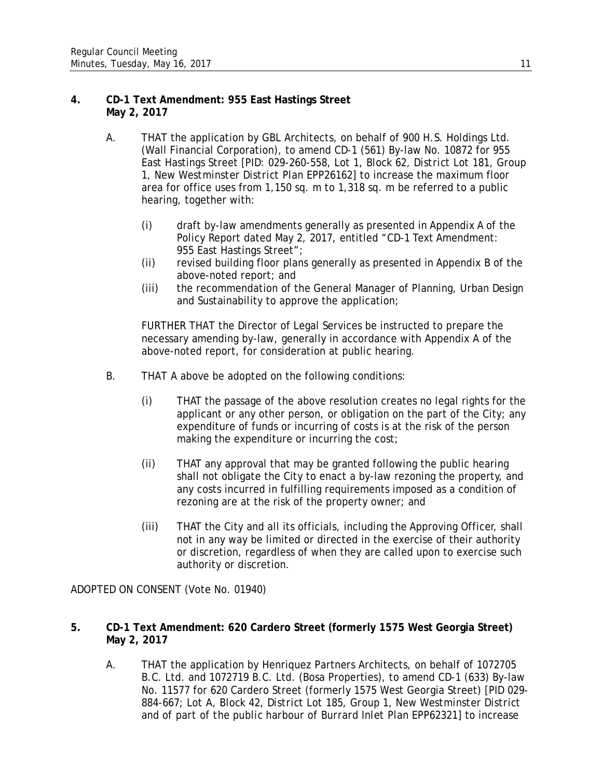## **4. CD-1 Text Amendment: 955 East Hastings Street May 2, 2017**

- A. THAT the application by GBL Architects, on behalf of 900 H.S. Holdings Ltd. (Wall Financial Corporation), to amend CD-1 (561) By-law No. 10872 for 955 East Hastings Street [*PID:* 029*-260-558, Lot 1, Block 62, District Lot 181, Group 1, New Westminster District Plan EPP26162*] to increase the maximum floor area for office uses from 1,150 sq. m to 1,318 sq. m be referred to a public hearing, together with:
	- (i) draft by-law amendments generally as presented in Appendix A of the Policy Report dated May 2, 2017, entitled "CD-1 Text Amendment: 955 East Hastings Street";
	- (ii) revised building floor plans generally as presented in Appendix B of the above-noted report; and
	- (iii) the recommendation of the General Manager of Planning, Urban Design and Sustainability to approve the application;

FURTHER THAT the Director of Legal Services be instructed to prepare the necessary amending by-law, generally in accordance with Appendix A of the above-noted report, for consideration at public hearing.

- B. THAT A above be adopted on the following conditions:
	- (i) THAT the passage of the above resolution creates no legal rights for the applicant or any other person, or obligation on the part of the City; any expenditure of funds or incurring of costs is at the risk of the person making the expenditure or incurring the cost;
	- (ii) THAT any approval that may be granted following the public hearing shall not obligate the City to enact a by-law rezoning the property, and any costs incurred in fulfilling requirements imposed as a condition of rezoning are at the risk of the property owner; and
	- (iii) THAT the City and all its officials, including the Approving Officer, shall not in any way be limited or directed in the exercise of their authority or discretion, regardless of when they are called upon to exercise such authority or discretion.

ADOPTED ON CONSENT (Vote No. 01940)

## **5. CD-1 Text Amendment: 620 Cardero Street (formerly 1575 West Georgia Street) May 2, 2017**

A. THAT the application by Henriquez Partners Architects, on behalf of 1072705 B.C. Ltd. and 1072719 B.C. Ltd. (Bosa Properties), to amend CD-1 (633) By-law No. 11577 for 620 Cardero Street (formerly 1575 West Georgia Street) [*PID 029- 884-667; Lot A, Block 42, District Lot 185, Group 1, New Westminster District and of part of the public harbour of Burrard Inlet Plan EPP62321*] to increase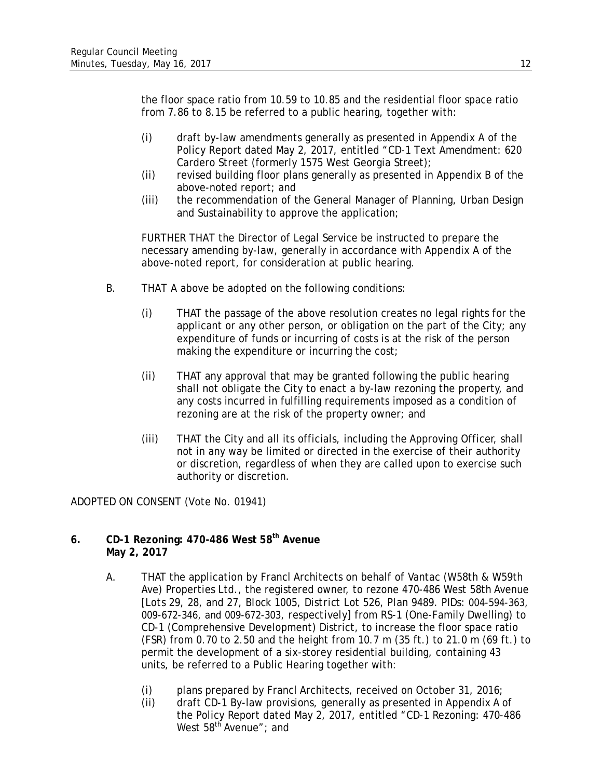the floor space ratio from 10.59 to 10.85 and the residential floor space ratio from 7.86 to 8.15 be referred to a public hearing, together with:

- (i) draft by-law amendments generally as presented in Appendix A of the Policy Report dated May 2, 2017, entitled "CD-1 Text Amendment: 620 Cardero Street (formerly 1575 West Georgia Street);
- (ii) revised building floor plans generally as presented in Appendix B of the above-noted report; and
- (iii) the recommendation of the General Manager of Planning, Urban Design and Sustainability to approve the application;

FURTHER THAT the Director of Legal Service be instructed to prepare the necessary amending by-law, generally in accordance with Appendix A of the above-noted report, for consideration at public hearing.

- B. THAT A above be adopted on the following conditions:
	- (i) THAT the passage of the above resolution creates no legal rights for the applicant or any other person, or obligation on the part of the City; any expenditure of funds or incurring of costs is at the risk of the person making the expenditure or incurring the cost;
	- (ii) THAT any approval that may be granted following the public hearing shall not obligate the City to enact a by-law rezoning the property, and any costs incurred in fulfilling requirements imposed as a condition of rezoning are at the risk of the property owner; and
	- (iii) THAT the City and all its officials, including the Approving Officer, shall not in any way be limited or directed in the exercise of their authority or discretion, regardless of when they are called upon to exercise such authority or discretion.

ADOPTED ON CONSENT (Vote No. 01941)

## **6. CD-1 Rezoning: 470-486 West 58th Avenue May 2, 2017**

- A. THAT the application by Francl Architects on behalf of Vantac (W58th & W59th Ave) Properties Ltd., the registered owner, to rezone 470-486 West 58th Avenue [*Lots 29, 28, and 27, Block 1005, District Lot 526, Plan 9489. PIDs: 004-594-363, 009-672-346, and 009-672-303, respectively]* from RS-1 (One-Family Dwelling) to CD-1 (Comprehensive Development) District, to increase the floor space ratio (FSR) from 0.70 to 2.50 and the height from 10.7 m (35 ft.) to 21.0 m (69 ft.) to permit the development of a six-storey residential building, containing 43 units, be referred to a Public Hearing together with:
	- (i) plans prepared by Francl Architects, received on October 31, 2016;
	- (ii) draft CD-1 By-law provisions, generally as presented in Appendix A of the Policy Report dated May 2, 2017, entitled "CD-1 Rezoning: 470-486 West  $58^{\text{th}}$  Avenue"; and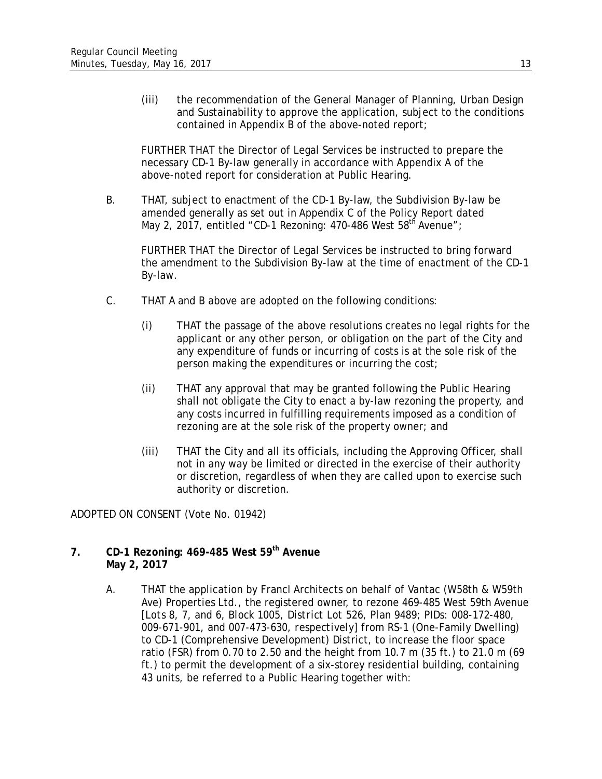(iii) the recommendation of the General Manager of Planning, Urban Design and Sustainability to approve the application, subject to the conditions contained in Appendix B of the above-noted report;

FURTHER THAT the Director of Legal Services be instructed to prepare the necessary CD-1 By-law generally in accordance with Appendix A of the above-noted report for consideration at Public Hearing.

B. THAT, subject to enactment of the CD-1 By-law, the Subdivision By-law be amended generally as set out in Appendix C of the Policy Report dated May 2, 2017, entitled "CD-1 Rezoning: 470-486 West  $58<sup>th</sup>$  Avenue";

FURTHER THAT the Director of Legal Services be instructed to bring forward the amendment to the Subdivision By-law at the time of enactment of the CD-1 By-law.

- C. THAT A and B above are adopted on the following conditions:
	- (i) THAT the passage of the above resolutions creates no legal rights for the applicant or any other person, or obligation on the part of the City and any expenditure of funds or incurring of costs is at the sole risk of the person making the expenditures or incurring the cost;
	- (ii) THAT any approval that may be granted following the Public Hearing shall not obligate the City to enact a by-law rezoning the property, and any costs incurred in fulfilling requirements imposed as a condition of rezoning are at the sole risk of the property owner; and
	- (iii) THAT the City and all its officials, including the Approving Officer, shall not in any way be limited or directed in the exercise of their authority or discretion, regardless of when they are called upon to exercise such authority or discretion.

ADOPTED ON CONSENT (Vote No. 01942)

## **7. CD-1 Rezoning: 469-485 West 59th Avenue May 2, 2017**

A. THAT the application by Francl Architects on behalf of Vantac (W58th & W59th Ave) Properties Ltd., the registered owner, to rezone 469-485 West 59th Avenue [*Lots 8, 7, and 6, Block 1005, District Lot 526, Plan 9489; PIDs: 008-172-480, 009-671-901, and 007-473-630, respectively]* from RS-1 (One-Family Dwelling) to CD-1 (Comprehensive Development) District, to increase the floor space ratio (FSR) from 0.70 to 2.50 and the height from 10.7 m (35 ft.) to 21.0 m (69 ft.) to permit the development of a six-storey residential building, containing 43 units, be referred to a Public Hearing together with: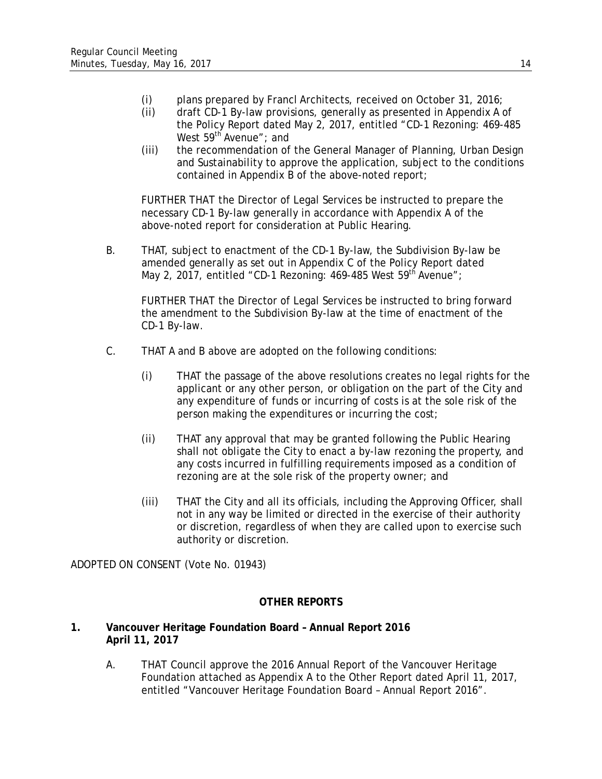- (i) plans prepared by Francl Architects, received on October 31, 2016;
- (ii) draft CD-1 By-law provisions, generally as presented in Appendix A of the Policy Report dated May 2, 2017, entitled "CD-1 Rezoning: 469-485 West 59<sup>th</sup> Avenue"; and
- (iii) the recommendation of the General Manager of Planning, Urban Design and Sustainability to approve the application, subject to the conditions contained in Appendix B of the above-noted report;

FURTHER THAT the Director of Legal Services be instructed to prepare the necessary CD-1 By-law generally in accordance with Appendix A of the above-noted report for consideration at Public Hearing.

B. THAT, subject to enactment of the CD-1 By-law, the Subdivision By-law be amended generally as set out in Appendix C of the Policy Report dated May 2, 2017, entitled "CD-1 Rezoning: 469-485 West  $59<sup>th</sup>$  Avenue";

FURTHER THAT the Director of Legal Services be instructed to bring forward the amendment to the Subdivision By-law at the time of enactment of the CD-1 By-law.

- C. THAT A and B above are adopted on the following conditions:
	- (i) THAT the passage of the above resolutions creates no legal rights for the applicant or any other person, or obligation on the part of the City and any expenditure of funds or incurring of costs is at the sole risk of the person making the expenditures or incurring the cost;
	- (ii) THAT any approval that may be granted following the Public Hearing shall not obligate the City to enact a by-law rezoning the property, and any costs incurred in fulfilling requirements imposed as a condition of rezoning are at the sole risk of the property owner; and
	- (iii) THAT the City and all its officials, including the Approving Officer, shall not in any way be limited or directed in the exercise of their authority or discretion, regardless of when they are called upon to exercise such authority or discretion.

ADOPTED ON CONSENT (Vote No. 01943)

# **OTHER REPORTS**

## **1. Vancouver Heritage Foundation Board – Annual Report 2016 April 11, 2017**

A. THAT Council approve the 2016 Annual Report of the Vancouver Heritage Foundation attached as Appendix A to the Other Report dated April 11, 2017, entitled "Vancouver Heritage Foundation Board – Annual Report 2016".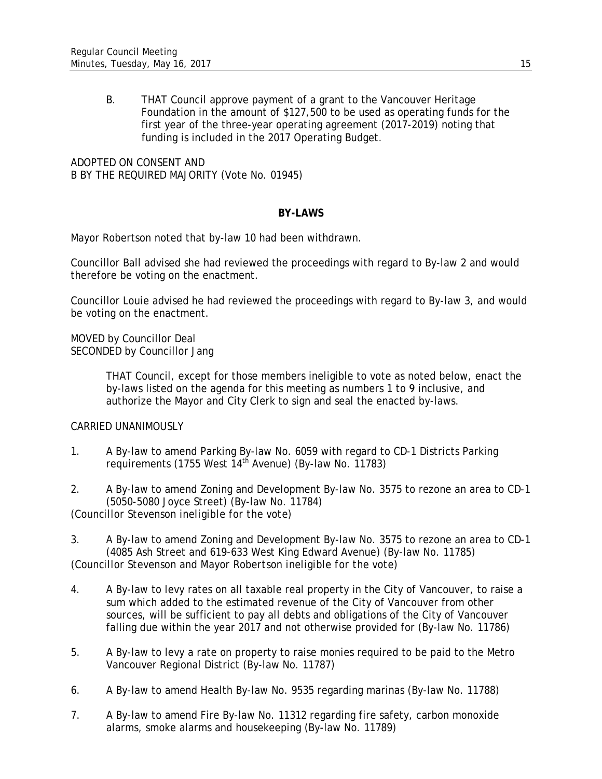B. THAT Council approve payment of a grant to the Vancouver Heritage Foundation in the amount of \$127,500 to be used as operating funds for the first year of the three-year operating agreement (2017-2019) noting that funding is included in the 2017 Operating Budget.

ADOPTED ON CONSENT AND B BY THE REQUIRED MAJORITY (Vote No. 01945)

# **BY-LAWS**

Mayor Robertson noted that by-law 10 had been withdrawn.

Councillor Ball advised she had reviewed the proceedings with regard to By-law 2 and would therefore be voting on the enactment.

Councillor Louie advised he had reviewed the proceedings with regard to By-law 3, and would be voting on the enactment.

MOVED by Councillor Deal SECONDED by Councillor Jang

> THAT Council, except for those members ineligible to vote as noted below, enact the by-laws listed on the agenda for this meeting as numbers 1 to 9 inclusive, and authorize the Mayor and City Clerk to sign and seal the enacted by-laws.

## CARRIED UNANIMOUSLY

1. A By-law to amend Parking By-law No. 6059 with regard to CD-1 Districts Parking requirements (1755 West  $14<sup>th</sup>$  Avenue) (By-law No. 11783)

2. A By-law to amend Zoning and Development By-law No. 3575 to rezone an area to CD-1 (5050-5080 Joyce Street) (By-law No. 11784) *(Councillor Stevenson ineligible for the vote)*

3. A By-law to amend Zoning and Development By-law No. 3575 to rezone an area to CD-1 (4085 Ash Street and 619-633 West King Edward Avenue) (By-law No. 11785) *(Councillor Stevenson and Mayor Robertson ineligible for the vote)* 

- 4. A By-law to levy rates on all taxable real property in the City of Vancouver, to raise a sum which added to the estimated revenue of the City of Vancouver from other sources, will be sufficient to pay all debts and obligations of the City of Vancouver falling due within the year 2017 and not otherwise provided for (By-law No. 11786)
- 5. A By-law to levy a rate on property to raise monies required to be paid to the Metro Vancouver Regional District (By-law No. 11787)
- 6. A By-law to amend Health By-law No. 9535 regarding marinas (By-law No. 11788)
- 7. A By-law to amend Fire By-law No. 11312 regarding fire safety, carbon monoxide alarms, smoke alarms and housekeeping (By-law No. 11789)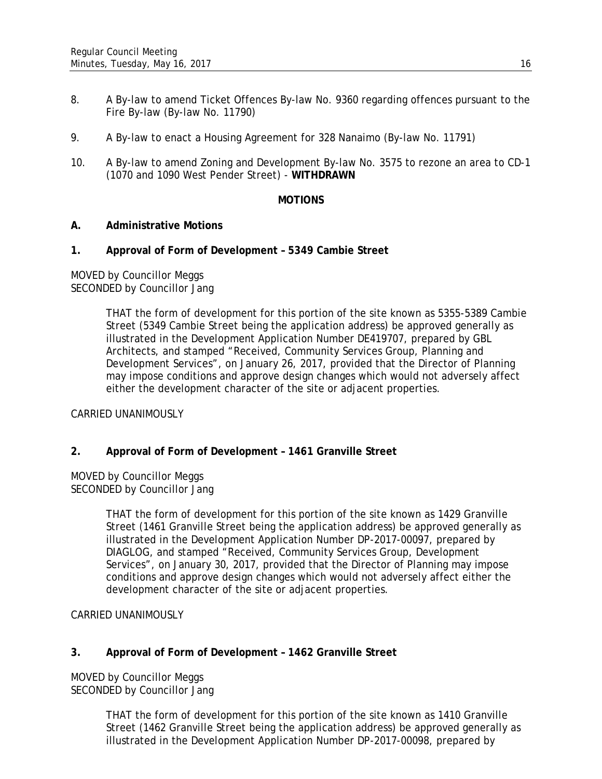- 8. A By-law to amend Ticket Offences By-law No. 9360 regarding offences pursuant to the Fire By-law (By-law No. 11790)
- 9. A By-law to enact a Housing Agreement for 328 Nanaimo (By-law No. 11791)
- 10. A By-law to amend Zoning and Development By-law No. 3575 to rezone an area to CD-1 (1070 and 1090 West Pender Street) - **WITHDRAWN**

## **MOTIONS**

## **A. Administrative Motions**

#### **1. Approval of Form of Development – 5349 Cambie Street**

MOVED by Councillor Meggs SECONDED by Councillor Jang

> THAT the form of development for this portion of the site known as 5355-5389 Cambie Street (5349 Cambie Street being the application address) be approved generally as illustrated in the Development Application Number DE419707, prepared by GBL Architects, and stamped "Received, Community Services Group, Planning and Development Services", on January 26, 2017, provided that the Director of Planning may impose conditions and approve design changes which would not adversely affect either the development character of the site or adjacent properties.

#### CARRIED UNANIMOUSLY

## **2. Approval of Form of Development – 1461 Granville Street**

MOVED by Councillor Meggs SECONDED by Councillor Jang

> THAT the form of development for this portion of the site known as 1429 Granville Street (1461 Granville Street being the application address) be approved generally as illustrated in the Development Application Number DP-2017-00097, prepared by DIAGLOG, and stamped "Received, Community Services Group, Development Services", on January 30, 2017, provided that the Director of Planning may impose conditions and approve design changes which would not adversely affect either the development character of the site or adjacent properties.

CARRIED UNANIMOUSLY

## **3. Approval of Form of Development – 1462 Granville Street**

MOVED by Councillor Meggs SECONDED by Councillor Jang

> THAT the form of development for this portion of the site known as 1410 Granville Street (1462 Granville Street being the application address) be approved generally as illustrated in the Development Application Number DP-2017-00098, prepared by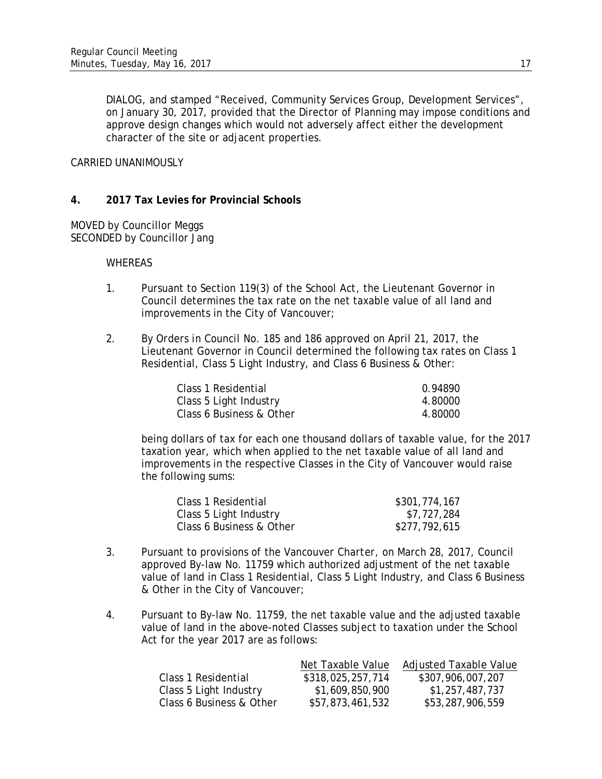DIALOG, and stamped "Received, Community Services Group, Development Services", on January 30, 2017, provided that the Director of Planning may impose conditions and approve design changes which would not adversely affect either the development character of the site or adjacent properties.

#### CARRIED UNANIMOUSLY

## **4. 2017 Tax Levies for Provincial Schools**

MOVED by Councillor Meggs SECONDED by Councillor Jang

#### WHEREAS

- 1. Pursuant to Section 119(3) of the *School Act*, the Lieutenant Governor in Council determines the tax rate on the net taxable value of all land and improvements in the City of Vancouver;
- 2. By *Orders in Council No. 185 and 186* approved on April 21, 2017, the Lieutenant Governor in Council determined the following tax rates on Class 1 Residential, Class 5 Light Industry, and Class 6 Business & Other:

| Class 1 Residential      | 0.94890 |
|--------------------------|---------|
| Class 5 Light Industry   | 4.80000 |
| Class 6 Business & Other | 4.80000 |

being dollars of tax for each one thousand dollars of taxable value, for the 2017 taxation year, which when applied to the net taxable value of all land and improvements in the respective Classes in the City of Vancouver would raise the following sums:

| Class 1 Residential      | \$301,774,167 |
|--------------------------|---------------|
| Class 5 Light Industry   | \$7,727,284   |
| Class 6 Business & Other | \$277,792,615 |

- 3. Pursuant to provisions of the *Vancouver Charter*, on March 28, 2017, Council approved By-law No. 11759 which authorized adjustment of the net taxable value of land in Class 1 Residential, Class 5 Light Industry, and Class 6 Business & Other in the City of Vancouver;
- 4. Pursuant to By-law No. 11759, the net taxable value and the adjusted taxable value of land in the above-noted Classes subject to taxation under the *School Act* for the year 2017 are as follows:

|                          | Net Taxable Value | <b>Adjusted Taxable Value</b> |
|--------------------------|-------------------|-------------------------------|
| Class 1 Residential      | \$318,025,257,714 | \$307,906,007,207             |
| Class 5 Light Industry   | \$1,609,850,900   | \$1,257,487,737               |
| Class 6 Business & Other | \$57,873,461,532  | \$53,287,906,559              |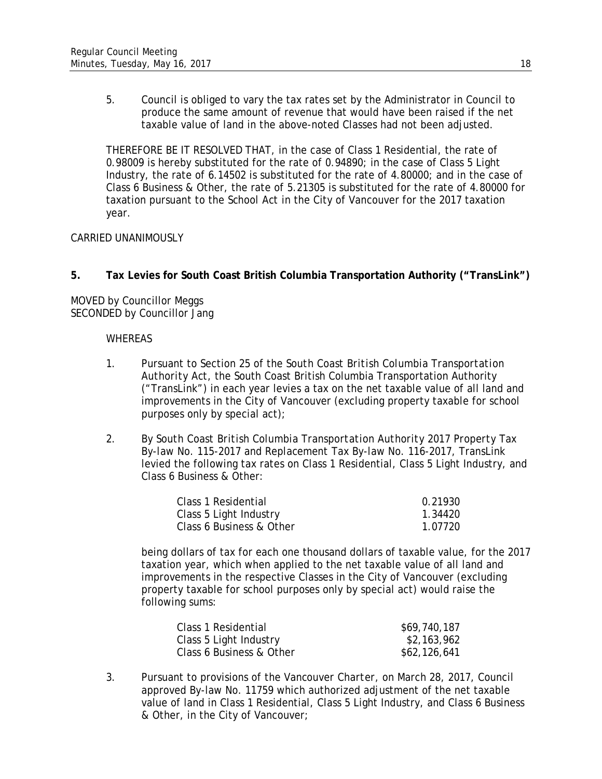5. Council is obliged to vary the tax rates set by the Administrator in Council to produce the same amount of revenue that would have been raised if the net taxable value of land in the above-noted Classes had not been adjusted.

THEREFORE BE IT RESOLVED THAT, in the case of Class 1 Residential, the rate of 0.98009 is hereby substituted for the rate of 0.94890; in the case of Class 5 Light Industry, the rate of 6.14502 is substituted for the rate of 4.80000; and in the case of Class 6 Business & Other, the rate of 5.21305 is substituted for the rate of 4.80000 for taxation pursuant to the *School Act* in the City of Vancouver for the 2017 taxation year.

#### CARRIED UNANIMOUSLY

**5. Tax Levies for South Coast British Columbia Transportation Authority ("TransLink")**

MOVED by Councillor Meggs SECONDED by Councillor Jang

#### **WHEREAS**

- 1. Pursuant to Section 25 of the *South Coast British Columbia Transportation Authority Act*, the South Coast British Columbia Transportation Authority ("TransLink") in each year levies a tax on the net taxable value of all land and improvements in the City of Vancouver (excluding property taxable for school purposes only by special act);
- 2. By *South Coast British Columbia Transportation Authority 2017 Property Tax By-law No. 115-2017* and *Replacement Tax By-law No. 116-2017*, TransLink levied the following tax rates on Class 1 Residential, Class 5 Light Industry, and Class 6 Business & Other:

| Class 1 Residential      | 0.21930 |
|--------------------------|---------|
| Class 5 Light Industry   | 1.34420 |
| Class 6 Business & Other | 1.07720 |

being dollars of tax for each one thousand dollars of taxable value, for the 2017 taxation year, which when applied to the net taxable value of all land and improvements in the respective Classes in the City of Vancouver (excluding property taxable for school purposes only by special act) would raise the following sums:

| Class 1 Residential      | \$69,740,187 |
|--------------------------|--------------|
| Class 5 Light Industry   | \$2,163,962  |
| Class 6 Business & Other | \$62,126,641 |

3. Pursuant to provisions of the *Vancouver Charter*, on March 28, 2017, Council approved By-law No. 11759 which authorized adjustment of the net taxable value of land in Class 1 Residential, Class 5 Light Industry, and Class 6 Business & Other, in the City of Vancouver;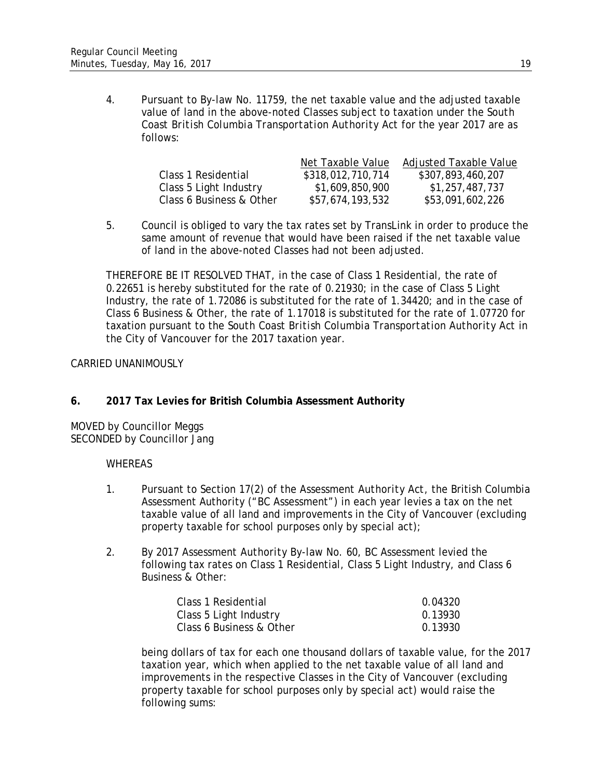4. Pursuant to By-law No. 11759, the net taxable value and the adjusted taxable value of land in the above-noted Classes subject to taxation under the *South Coast British Columbia Transportation Authority Act* for the year 2017 are as follows:

|                          | Net Taxable Value | <b>Adjusted Taxable Value</b> |
|--------------------------|-------------------|-------------------------------|
| Class 1 Residential      | \$318,012,710,714 | \$307,893,460,207             |
| Class 5 Light Industry   | \$1,609,850,900   | \$1,257,487,737               |
| Class 6 Business & Other | \$57,674,193,532  | \$53,091,602,226              |

5. Council is obliged to vary the tax rates set by TransLink in order to produce the same amount of revenue that would have been raised if the net taxable value of land in the above-noted Classes had not been adjusted.

THEREFORE BE IT RESOLVED THAT, in the case of Class 1 Residential, the rate of 0.22651 is hereby substituted for the rate of 0.21930; in the case of Class 5 Light Industry, the rate of 1.72086 is substituted for the rate of 1.34420; and in the case of Class 6 Business & Other, the rate of 1.17018 is substituted for the rate of 1.07720 for taxation pursuant to the *South Coast British Columbia Transportation Authority Act* in the City of Vancouver for the 2017 taxation year.

#### CARRIED UNANIMOUSLY

## **6. 2017 Tax Levies for British Columbia Assessment Authority**

MOVED by Councillor Meggs SECONDED by Councillor Jang

#### WHEREAS

- 1. Pursuant to Section 17(2) of the *Assessment Authority Act*, the British Columbia Assessment Authority ("BC Assessment") in each year levies a tax on the net taxable value of all land and improvements in the City of Vancouver (excluding property taxable for school purposes only by special act);
- 2. By *2017 Assessment Authority By-law No. 60*, BC Assessment levied the following tax rates on Class 1 Residential, Class 5 Light Industry, and Class 6 Business & Other:

| Class 1 Residential      | 0.04320 |
|--------------------------|---------|
| Class 5 Light Industry   | 0.13930 |
| Class 6 Business & Other | 0.13930 |

being dollars of tax for each one thousand dollars of taxable value, for the 2017 taxation year, which when applied to the net taxable value of all land and improvements in the respective Classes in the City of Vancouver (excluding property taxable for school purposes only by special act) would raise the following sums: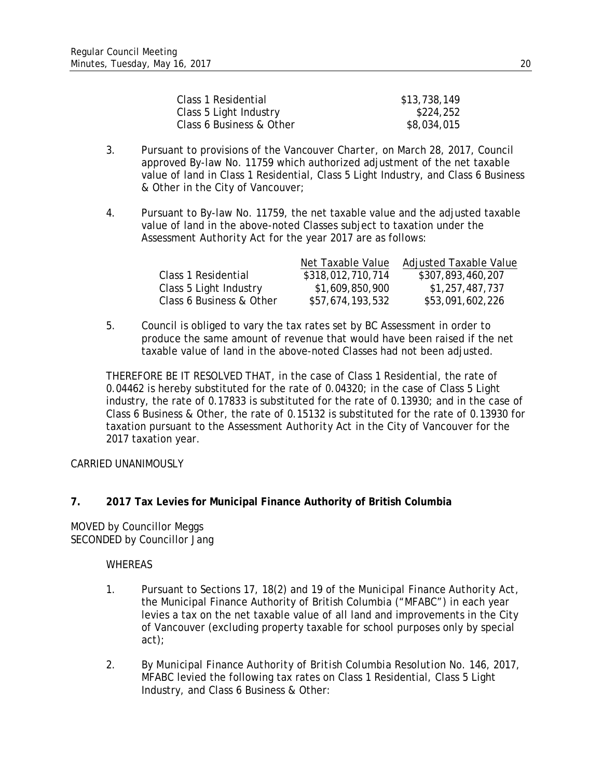| Class 1 Residential      | \$13,738,149 |
|--------------------------|--------------|
| Class 5 Light Industry   | \$224,252    |
| Class 6 Business & Other | \$8,034,015  |

- 3. Pursuant to provisions of the *Vancouver Charter*, on March 28, 2017, Council approved By-law No. 11759 which authorized adjustment of the net taxable value of land in Class 1 Residential, Class 5 Light Industry, and Class 6 Business & Other in the City of Vancouver;
- 4. Pursuant to By-law No. 11759, the net taxable value and the adjusted taxable value of land in the above-noted Classes subject to taxation under the *Assessment Authority Act* for the year 2017 are as follows:

|                          | Net Taxable Value | Adjusted Taxable Value |
|--------------------------|-------------------|------------------------|
| Class 1 Residential      | \$318,012,710,714 | \$307,893,460,207      |
| Class 5 Light Industry   | \$1,609,850,900   | \$1,257,487,737        |
| Class 6 Business & Other | \$57,674,193,532  | \$53,091,602,226       |

5. Council is obliged to vary the tax rates set by BC Assessment in order to produce the same amount of revenue that would have been raised if the net taxable value of land in the above-noted Classes had not been adjusted.

THEREFORE BE IT RESOLVED THAT, in the case of Class 1 Residential, the rate of 0.04462 is hereby substituted for the rate of 0.04320; in the case of Class 5 Light industry, the rate of 0.17833 is substituted for the rate of 0.13930; and in the case of Class 6 Business & Other, the rate of 0.15132 is substituted for the rate of 0.13930 for taxation pursuant to the *Assessment Authority Act* in the City of Vancouver for the 2017 taxation year.

CARRIED UNANIMOUSLY

## **7. 2017 Tax Levies for Municipal Finance Authority of British Columbia**

MOVED by Councillor Meggs SECONDED by Councillor Jang

#### **WHEREAS**

- 1. Pursuant to Sections 17, 18(2) and 19 of the *Municipal Finance Authority Act*, the Municipal Finance Authority of British Columbia ("MFABC") in each year levies a tax on the net taxable value of all land and improvements in the City of Vancouver (excluding property taxable for school purposes only by special act);
- 2. By *Municipal Finance Authority of British Columbia Resolution No. 146, 2017*, MFABC levied the following tax rates on Class 1 Residential, Class 5 Light Industry, and Class 6 Business & Other: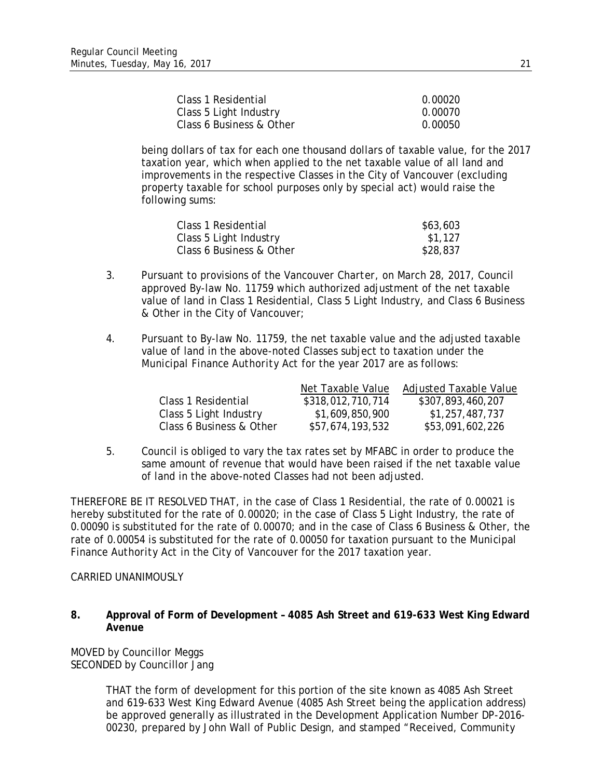| Class 1 Residential      | 0.00020 |
|--------------------------|---------|
| Class 5 Light Industry   | 0.00070 |
| Class 6 Business & Other | 0.00050 |

being dollars of tax for each one thousand dollars of taxable value, for the 2017 taxation year, which when applied to the net taxable value of all land and improvements in the respective Classes in the City of Vancouver (excluding property taxable for school purposes only by special act) would raise the following sums:

| Class 1 Residential      | \$63,603 |
|--------------------------|----------|
| Class 5 Light Industry   | \$1,127  |
| Class 6 Business & Other | \$28,837 |

- 3. Pursuant to provisions of the *Vancouver Charter*, on March 28, 2017, Council approved By-law No. 11759 which authorized adjustment of the net taxable value of land in Class 1 Residential, Class 5 Light Industry, and Class 6 Business & Other in the City of Vancouver;
- 4. Pursuant to By-law No. 11759, the net taxable value and the adjusted taxable value of land in the above-noted Classes subject to taxation under the *Municipal Finance Authority Act* for the year 2017 are as follows:

|                          | Net Taxable Value | <b>Adjusted Taxable Value</b> |
|--------------------------|-------------------|-------------------------------|
| Class 1 Residential      | \$318,012,710,714 | \$307,893,460,207             |
| Class 5 Light Industry   | \$1,609,850,900   | \$1,257,487,737               |
| Class 6 Business & Other | \$57,674,193,532  | \$53,091,602,226              |

5. Council is obliged to vary the tax rates set by MFABC in order to produce the same amount of revenue that would have been raised if the net taxable value of land in the above-noted Classes had not been adjusted.

THEREFORE BE IT RESOLVED THAT, in the case of Class 1 Residential, the rate of 0.00021 is hereby substituted for the rate of 0.00020; in the case of Class 5 Light Industry, the rate of 0.00090 is substituted for the rate of 0.00070; and in the case of Class 6 Business & Other, the rate of 0.00054 is substituted for the rate of 0.00050 for taxation pursuant to the *Municipal Finance Authority Act* in the City of Vancouver for the 2017 taxation year.

CARRIED UNANIMOUSLY

#### **8. Approval of Form of Development – 4085 Ash Street and 619-633 West King Edward Avenue**

MOVED by Councillor Meggs SECONDED by Councillor Jang

> THAT the form of development for this portion of the site known as 4085 Ash Street and 619-633 West King Edward Avenue (4085 Ash Street being the application address) be approved generally as illustrated in the Development Application Number DP-2016- 00230, prepared by John Wall of Public Design, and stamped "Received, Community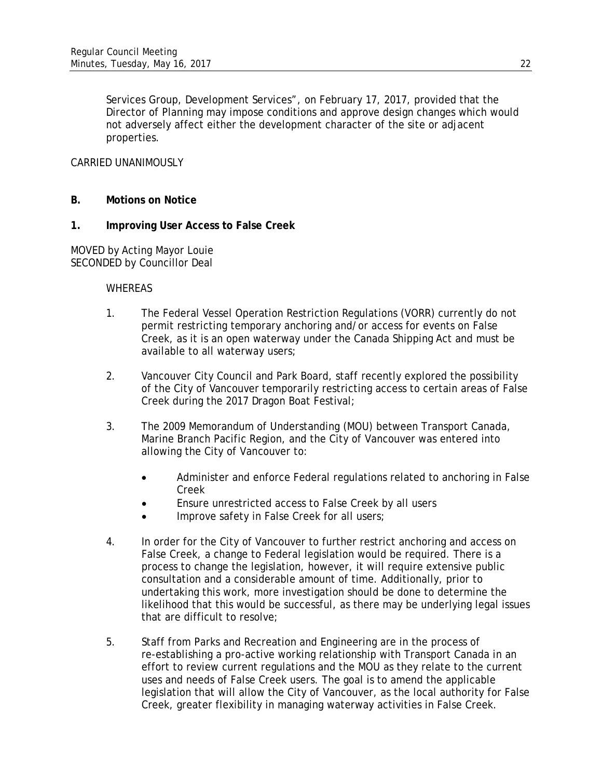Services Group, Development Services", on February 17, 2017, provided that the Director of Planning may impose conditions and approve design changes which would not adversely affect either the development character of the site or adjacent properties.

## CARRIED UNANIMOUSLY

- **B. Motions on Notice**
- **1. Improving User Access to False Creek**

MOVED by Acting Mayor Louie SECONDED by Councillor Deal

#### WHEREAS

- 1. The Federal Vessel Operation Restriction Regulations (VORR) currently do not permit restricting temporary anchoring and/or access for events on False Creek, as it is an open waterway under the Canada Shipping Act and must be available to all waterway users;
- 2. Vancouver City Council and Park Board, staff recently explored the possibility of the City of Vancouver temporarily restricting access to certain areas of False Creek during the 2017 Dragon Boat Festival;
- 3. The 2009 Memorandum of Understanding (MOU) between Transport Canada, Marine Branch Pacific Region, and the City of Vancouver was entered into allowing the City of Vancouver to:
	- Administer and enforce Federal regulations related to anchoring in False Creek
	- Ensure unrestricted access to False Creek by all users
	- Improve safety in False Creek for all users;
- 4. In order for the City of Vancouver to further restrict anchoring and access on False Creek, a change to Federal legislation would be required. There is a process to change the legislation, however, it will require extensive public consultation and a considerable amount of time. Additionally, prior to undertaking this work, more investigation should be done to determine the likelihood that this would be successful, as there may be underlying legal issues that are difficult to resolve;
- 5. Staff from Parks and Recreation and Engineering are in the process of re-establishing a pro-active working relationship with Transport Canada in an effort to review current regulations and the MOU as they relate to the current uses and needs of False Creek users. The goal is to amend the applicable legislation that will allow the City of Vancouver, as the local authority for False Creek, greater flexibility in managing waterway activities in False Creek.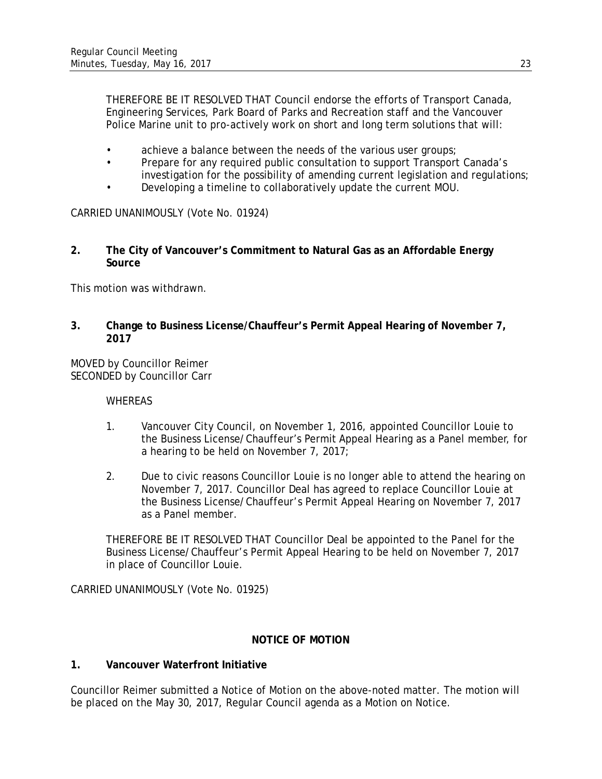THEREFORE BE IT RESOLVED THAT Council endorse the efforts of Transport Canada, Engineering Services, Park Board of Parks and Recreation staff and the Vancouver Police Marine unit to pro-actively work on short and long term solutions that will:

- achieve a balance between the needs of the various user groups;
- Prepare for any required public consultation to support Transport Canada's investigation for the possibility of amending current legislation and regulations;
- Developing a timeline to collaboratively update the current MOU.

CARRIED UNANIMOUSLY (Vote No. 01924)

**2. The City of Vancouver's Commitment to Natural Gas as an Affordable Energy Source**

This motion was withdrawn.

**3. Change to Business License/Chauffeur's Permit Appeal Hearing of November 7, 2017**

MOVED by Councillor Reimer SECONDED by Councillor Carr

**WHEREAS** 

- 1. Vancouver City Council, on November 1, 2016, appointed Councillor Louie to the Business License/Chauffeur's Permit Appeal Hearing as a Panel member, for a hearing to be held on November 7, 2017;
- 2. Due to civic reasons Councillor Louie is no longer able to attend the hearing on November 7, 2017. Councillor Deal has agreed to replace Councillor Louie at the Business License/Chauffeur's Permit Appeal Hearing on November 7, 2017 as a Panel member.

THEREFORE BE IT RESOLVED THAT Councillor Deal be appointed to the Panel for the Business License/Chauffeur's Permit Appeal Hearing to be held on November 7, 2017 in place of Councillor Louie.

CARRIED UNANIMOUSLY (Vote No. 01925)

## **NOTICE OF MOTION**

## **1. Vancouver Waterfront Initiative**

Councillor Reimer submitted a Notice of Motion on the above-noted matter. The motion will be placed on the May 30, 2017, Regular Council agenda as a Motion on Notice.